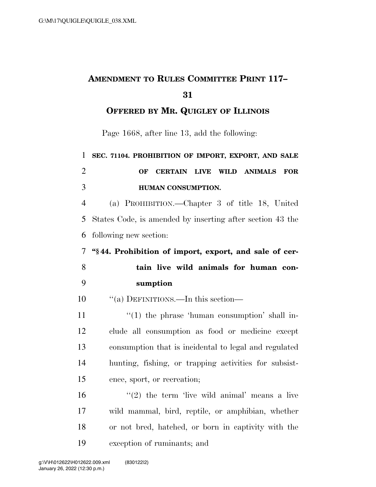## **AMENDMENT TO RULES COMMITTEE PRINT 117–**

**OFFERED BY MR. QUIGLEY OF ILLINOIS**

Page 1668, after line 13, add the following:

## **SEC. 71104. PROHIBITION OF IMPORT, EXPORT, AND SALE OF CERTAIN LIVE WILD ANIMALS FOR HUMAN CONSUMPTION.**

 (a) PROHIBITION.—Chapter 3 of title 18, United States Code, is amended by inserting after section 43 the following new section:

 **''§ 44. Prohibition of import, export, and sale of cer-tain live wild animals for human con-**

**sumption** 

10  $\frac{10}{10}$   $\frac{10}{10}$  DEFINITIONS.—In this section—

 $\frac{11}{11}$  ''(1) the phrase 'human consumption' shall in- clude all consumption as food or medicine except consumption that is incidental to legal and regulated hunting, fishing, or trapping activities for subsist-ence, sport, or recreation;

 $(2)$  the term 'live wild animal' means a live wild mammal, bird, reptile, or amphibian, whether or not bred, hatched, or born in captivity with the exception of ruminants; and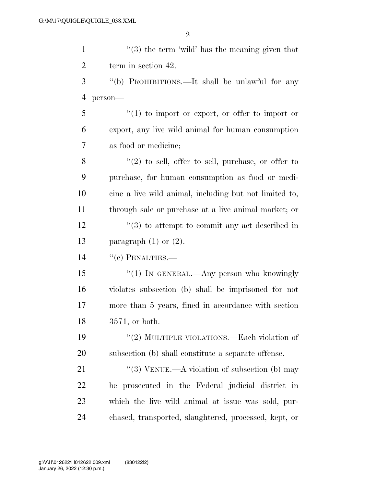| $\mathbf{1}$   | $\lq(3)$ the term 'wild' has the meaning given that            |
|----------------|----------------------------------------------------------------|
| $\overline{2}$ | term in section 42.                                            |
| 3              | "(b) PROHIBITIONS.—It shall be unlawful for any                |
| $\overline{4}$ | person-                                                        |
| 5              | $``(1)$ to import or export, or offer to import or             |
| 6              | export, any live wild animal for human consumption             |
| 7              | as food or medicine;                                           |
| 8              | $(2)$ to sell, offer to sell, purchase, or offer to            |
| 9              | purchase, for human consumption as food or medi-               |
| 10             | cine a live wild animal, including but not limited to,         |
| 11             | through sale or purchase at a live animal market; or           |
| 12             | $\cdot\cdot\cdot(3)$ to attempt to commit any act described in |
| 13             | paragraph $(1)$ or $(2)$ .                                     |
| 14             | $``(e)$ PENALTIES.—                                            |
| 15             | " $(1)$ In GENERAL.—Any person who knowingly                   |
| 16             | violates subsection (b) shall be imprisoned for not            |
| 17             | more than 5 years, fined in accordance with section            |
| 18             | 3571, or both.                                                 |
| 19             | "(2) MULTIPLE VIOLATIONS.—Each violation of                    |
| 20             | subsection (b) shall constitute a separate offense.            |
| 21             | "(3) VENUE.—A violation of subsection (b) may                  |
| 22             | be prosecuted in the Federal judicial district in              |
| 23             | which the live wild animal at issue was sold, pur-             |
| 24             | chased, transported, slaughtered, processed, kept, or          |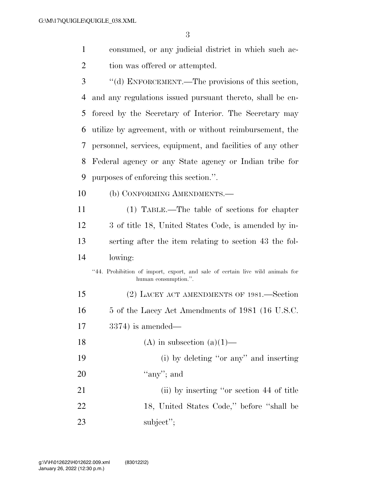3

- 1 consumed, or any judicial district in which such ac-2 tion was offered or attempted.
- 3 ''(d) ENFORCEMENT.—The provisions of this section, 4 and any regulations issued pursuant thereto, shall be en-5 forced by the Secretary of Interior. The Secretary may 6 utilize by agreement, with or without reimbursement, the 7 personnel, services, equipment, and facilities of any other 8 Federal agency or any State agency or Indian tribe for 9 purposes of enforcing this section.''.
- 10 (b) CONFORMING AMENDMENTS.—
- 11 (1) TABLE.—The table of sections for chapter 12 3 of title 18, United States Code, is amended by in-13 serting after the item relating to section 43 the fol-14 lowing:
	- ''44. Prohibition of import, export, and sale of certain live wild animals for human consumption.''.
- 15 (2) LACEY ACT AMENDMENTS OF 1981.—Section 16 5 of the Lacey Act Amendments of 1981 (16 U.S.C. 17 3374) is amended— 18 (A) in subsection  $(a)(1)$ —
- 19 (i) by deleting ''or any'' and inserting 20  $\text{``any''; and}$
- 21 (ii) by inserting "or section 44 of title 22 18, United States Code,'' before ''shall be 23 subject";